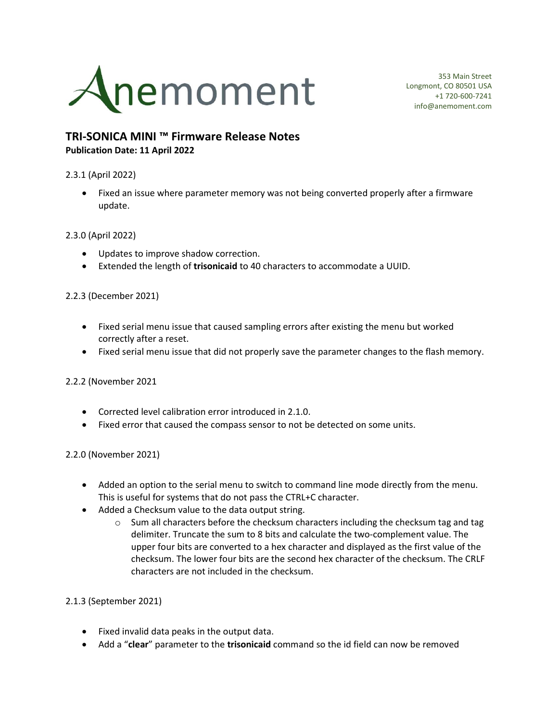

353 Main Street Longmont, CO 80501 USA +1 720-600-7241 info@anemoment.com

# TRI-SONICA MINI ™ Firmware Release Notes Publication Date: 11 April 2022

### 2.3.1 (April 2022)

• Fixed an issue where parameter memory was not being converted properly after a firmware update.

#### 2.3.0 (April 2022)

- Updates to improve shadow correction.
- **Extended the length of trisonicaid to 40 characters to accommodate a UUID.**

# 2.2.3 (December 2021)

- Fixed serial menu issue that caused sampling errors after existing the menu but worked correctly after a reset.
- Fixed serial menu issue that did not properly save the parameter changes to the flash memory.

#### 2.2.2 (November 2021

- Corrected level calibration error introduced in 2.1.0.
- Fixed error that caused the compass sensor to not be detected on some units.

#### 2.2.0 (November 2021)

- Added an option to the serial menu to switch to command line mode directly from the menu. This is useful for systems that do not pass the CTRL+C character.
- Added a Checksum value to the data output string.
	- $\circ$  Sum all characters before the checksum characters including the checksum tag and tag delimiter. Truncate the sum to 8 bits and calculate the two-complement value. The upper four bits are converted to a hex character and displayed as the first value of the checksum. The lower four bits are the second hex character of the checksum. The CRLF characters are not included in the checksum.

#### 2.1.3 (September 2021)

- Fixed invalid data peaks in the output data.
- Add a "clear" parameter to the trisonicaid command so the id field can now be removed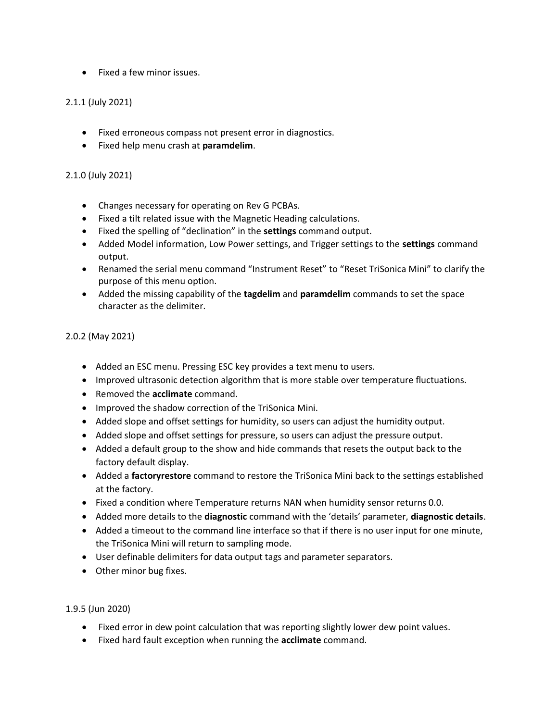• Fixed a few minor issues.

# 2.1.1 (July 2021)

- Fixed erroneous compass not present error in diagnostics.
- **•** Fixed help menu crash at **paramdelim**.

#### 2.1.0 (July 2021)

- Changes necessary for operating on Rev G PCBAs.
- Fixed a tilt related issue with the Magnetic Heading calculations.
- Fixed the spelling of "declination" in the settings command output.
- Added Model information, Low Power settings, and Trigger settings to the settings command output.
- Renamed the serial menu command "Instrument Reset" to "Reset TriSonica Mini" to clarify the purpose of this menu option.
- Added the missing capability of the tagdelim and paramdelim commands to set the space character as the delimiter.

# 2.0.2 (May 2021)

- Added an ESC menu. Pressing ESC key provides a text menu to users.
- Improved ultrasonic detection algorithm that is more stable over temperature fluctuations.
- Removed the acclimate command.
- Improved the shadow correction of the TriSonica Mini.
- Added slope and offset settings for humidity, so users can adjust the humidity output.
- Added slope and offset settings for pressure, so users can adjust the pressure output.
- Added a default group to the show and hide commands that resets the output back to the factory default display.
- Added a factoryrestore command to restore the TriSonica Mini back to the settings established at the factory.
- Fixed a condition where Temperature returns NAN when humidity sensor returns 0.0.
- Added more details to the **diagnostic** command with the 'details' parameter, **diagnostic details**.
- Added a timeout to the command line interface so that if there is no user input for one minute, the TriSonica Mini will return to sampling mode.
- User definable delimiters for data output tags and parameter separators.
- Other minor bug fixes.

#### 1.9.5 (Jun 2020)

- Fixed error in dew point calculation that was reporting slightly lower dew point values.
- Fixed hard fault exception when running the acclimate command.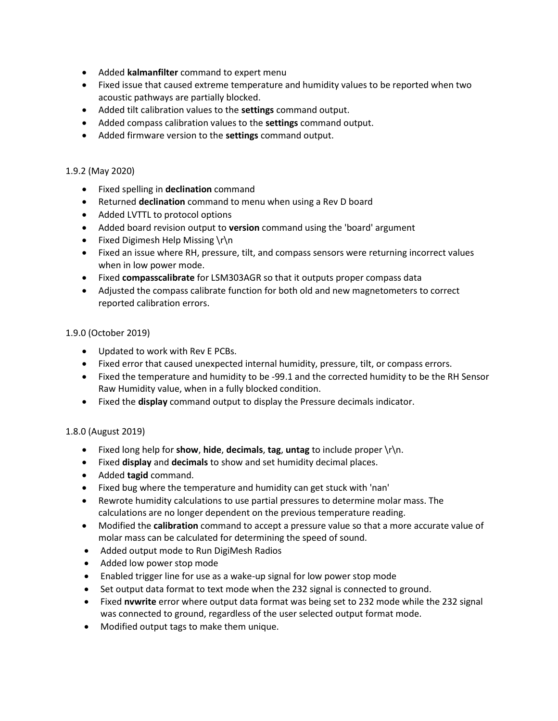- Added kalmanfilter command to expert menu
- Fixed issue that caused extreme temperature and humidity values to be reported when two acoustic pathways are partially blocked.
- Added tilt calibration values to the settings command output.
- Added compass calibration values to the settings command output.
- Added firmware version to the settings command output.

### 1.9.2 (May 2020)

- Fixed spelling in declination command
- Returned declination command to menu when using a Rev D board
- Added LVTTL to protocol options
- Added board revision output to version command using the 'board' argument
- Fixed Digimesh Help Missing \r\n
- Fixed an issue where RH, pressure, tilt, and compass sensors were returning incorrect values when in low power mode.
- Fixed compasscalibrate for LSM303AGR so that it outputs proper compass data
- Adjusted the compass calibrate function for both old and new magnetometers to correct reported calibration errors.

#### 1.9.0 (October 2019)

- Updated to work with Rev E PCBs.
- Fixed error that caused unexpected internal humidity, pressure, tilt, or compass errors.
- Fixed the temperature and humidity to be -99.1 and the corrected humidity to be the RH Sensor Raw Humidity value, when in a fully blocked condition.
- Fixed the **display** command output to display the Pressure decimals indicator.

#### 1.8.0 (August 2019)

- Fixed long help for show, hide, decimals, tag, untag to include proper  $\lceil \cdot \rceil$ n.
- **Fixed display and decimals to show and set humidity decimal places.**
- Added tagid command.
- Fixed bug where the temperature and humidity can get stuck with 'nan'
- Rewrote humidity calculations to use partial pressures to determine molar mass. The calculations are no longer dependent on the previous temperature reading.
- Modified the **calibration** command to accept a pressure value so that a more accurate value of molar mass can be calculated for determining the speed of sound.
- Added output mode to Run DigiMesh Radios
- Added low power stop mode
- Enabled trigger line for use as a wake-up signal for low power stop mode
- Set output data format to text mode when the 232 signal is connected to ground.
- Fixed nvwrite error where output data format was being set to 232 mode while the 232 signal was connected to ground, regardless of the user selected output format mode.
- Modified output tags to make them unique.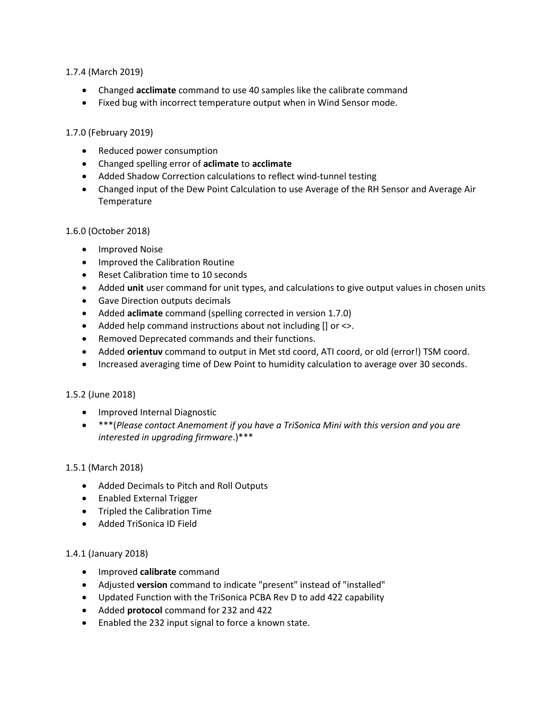### 1.7.4 (March 2019)

- Changed acclimate command to use 40 samples like the calibrate command
- Fixed bug with incorrect temperature output when in Wind Sensor mode.

# 1.7.0 (February 2019)

- Reduced power consumption
- Changed spelling error of aclimate to acclimate
- Added Shadow Correction calculations to reflect wind-tunnel testing
- Changed input of the Dew Point Calculation to use Average of the RH Sensor and Average Air **Temperature**

# 1.6.0 (October 2018)

- **•** Improved Noise
- Improved the Calibration Routine
- Reset Calibration time to 10 seconds
- Added unit user command for unit types, and calculations to give output values in chosen units
- Gave Direction outputs decimals
- Added aclimate command (spelling corrected in version 1.7.0)
- Added help command instructions about not including [] or <>.
- Removed Deprecated commands and their functions.
- Added orientuv command to output in Met std coord, ATI coord, or old (error!) TSM coord.
- Increased averaging time of Dew Point to humidity calculation to average over 30 seconds.

# 1.5.2 (June 2018)

- Improved Internal Diagnostic
- \*\*\*(Please contact Anemoment if you have a TriSonica Mini with this version and you are interested in upgrading firmware.)\*\*\*

# 1.5.1 (March 2018)

- Added Decimals to Pitch and Roll Outputs
- Enabled External Trigger
- Tripled the Calibration Time
- Added TriSonica ID Field

# 1.4.1 (January 2018)

- Improved calibrate command
- Adjusted version command to indicate "present" instead of "installed"
- Updated Function with the TriSonica PCBA Rev D to add 422 capability
- Added protocol command for 232 and 422
- Enabled the 232 input signal to force a known state.